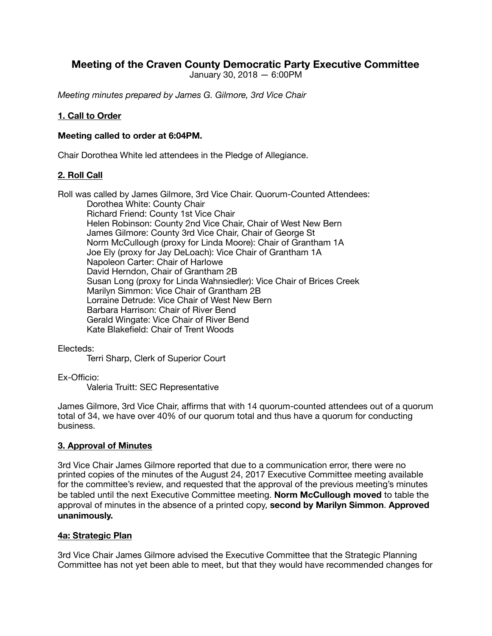# **Meeting of the Craven County Democratic Party Executive Committee**

January 30, 2018 — 6:00PM

*Meeting minutes prepared by James G. Gilmore, 3rd Vice Chair* 

### **1. Call to Order**

#### **Meeting called to order at 6:04PM.**

Chair Dorothea White led attendees in the Pledge of Allegiance.

#### **2. Roll Call**

Roll was called by James Gilmore, 3rd Vice Chair. Quorum-Counted Attendees: Dorothea White: County Chair Richard Friend: County 1st Vice Chair Helen Robinson: County 2nd Vice Chair, Chair of West New Bern James Gilmore: County 3rd Vice Chair, Chair of George St Norm McCullough (proxy for Linda Moore): Chair of Grantham 1A Joe Ely (proxy for Jay DeLoach): Vice Chair of Grantham 1A Napoleon Carter: Chair of Harlowe David Herndon, Chair of Grantham 2B Susan Long (proxy for Linda Wahnsiedler): Vice Chair of Brices Creek Marilyn Simmon: Vice Chair of Grantham 2B Lorraine Detrude: Vice Chair of West New Bern Barbara Harrison: Chair of River Bend Gerald Wingate: Vice Chair of River Bend Kate Blakefield: Chair of Trent Woods

Electeds:

Terri Sharp, Clerk of Superior Court

Ex-Officio:

Valeria Truitt: SEC Representative

James Gilmore, 3rd Vice Chair, affirms that with 14 quorum-counted attendees out of a quorum total of 34, we have over 40% of our quorum total and thus have a quorum for conducting business.

#### **3. Approval of Minutes**

3rd Vice Chair James Gilmore reported that due to a communication error, there were no printed copies of the minutes of the August 24, 2017 Executive Committee meeting available for the committee's review, and requested that the approval of the previous meeting's minutes be tabled until the next Executive Committee meeting. **Norm McCullough moved** to table the approval of minutes in the absence of a printed copy, **second by Marilyn Simmon**. **Approved unanimously.**

#### **4a: Strategic Plan**

3rd Vice Chair James Gilmore advised the Executive Committee that the Strategic Planning Committee has not yet been able to meet, but that they would have recommended changes for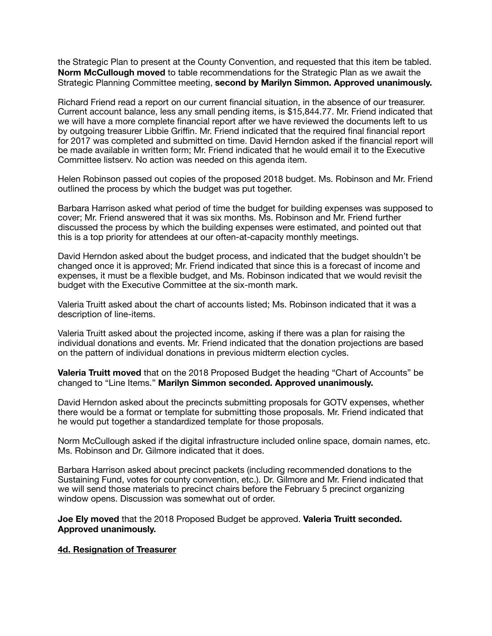the Strategic Plan to present at the County Convention, and requested that this item be tabled. **Norm McCullough moved** to table recommendations for the Strategic Plan as we await the Strategic Planning Committee meeting, **second by Marilyn Simmon. Approved unanimously.**

Richard Friend read a report on our current financial situation, in the absence of our treasurer. Current account balance, less any small pending items, is \$15,844.77. Mr. Friend indicated that we will have a more complete financial report after we have reviewed the documents left to us by outgoing treasurer Libbie Griffin. Mr. Friend indicated that the required final financial report for 2017 was completed and submitted on time. David Herndon asked if the financial report will be made available in written form; Mr. Friend indicated that he would email it to the Executive Committee listserv. No action was needed on this agenda item.

Helen Robinson passed out copies of the proposed 2018 budget. Ms. Robinson and Mr. Friend outlined the process by which the budget was put together.

Barbara Harrison asked what period of time the budget for building expenses was supposed to cover; Mr. Friend answered that it was six months. Ms. Robinson and Mr. Friend further discussed the process by which the building expenses were estimated, and pointed out that this is a top priority for attendees at our often-at-capacity monthly meetings.

David Herndon asked about the budget process, and indicated that the budget shouldn't be changed once it is approved; Mr. Friend indicated that since this is a forecast of income and expenses, it must be a flexible budget, and Ms. Robinson indicated that we would revisit the budget with the Executive Committee at the six-month mark.

Valeria Truitt asked about the chart of accounts listed; Ms. Robinson indicated that it was a description of line-items.

Valeria Truitt asked about the projected income, asking if there was a plan for raising the individual donations and events. Mr. Friend indicated that the donation projections are based on the pattern of individual donations in previous midterm election cycles.

**Valeria Truitt moved** that on the 2018 Proposed Budget the heading "Chart of Accounts" be changed to "Line Items." **Marilyn Simmon seconded. Approved unanimously.**

David Herndon asked about the precincts submitting proposals for GOTV expenses, whether there would be a format or template for submitting those proposals. Mr. Friend indicated that he would put together a standardized template for those proposals.

Norm McCullough asked if the digital infrastructure included online space, domain names, etc. Ms. Robinson and Dr. Gilmore indicated that it does.

Barbara Harrison asked about precinct packets (including recommended donations to the Sustaining Fund, votes for county convention, etc.). Dr. Gilmore and Mr. Friend indicated that we will send those materials to precinct chairs before the February 5 precinct organizing window opens. Discussion was somewhat out of order.

**Joe Ely moved** that the 2018 Proposed Budget be approved. **Valeria Truitt seconded. Approved unanimously.**

#### **4d. Resignation of Treasurer**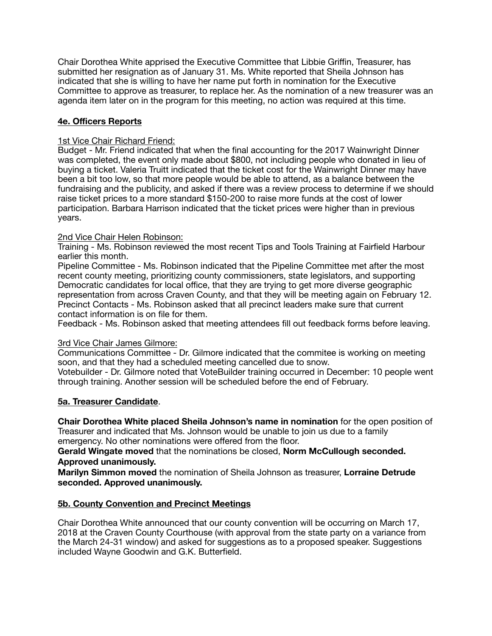Chair Dorothea White apprised the Executive Committee that Libbie Griffin, Treasurer, has submitted her resignation as of January 31. Ms. White reported that Sheila Johnson has indicated that she is willing to have her name put forth in nomination for the Executive Committee to approve as treasurer, to replace her. As the nomination of a new treasurer was an agenda item later on in the program for this meeting, no action was required at this time.

# **4e. Officers Reports**

#### 1st Vice Chair Richard Friend:

Budget - Mr. Friend indicated that when the final accounting for the 2017 Wainwright Dinner was completed, the event only made about \$800, not including people who donated in lieu of buying a ticket. Valeria Truitt indicated that the ticket cost for the Wainwright Dinner may have been a bit too low, so that more people would be able to attend, as a balance between the fundraising and the publicity, and asked if there was a review process to determine if we should raise ticket prices to a more standard \$150-200 to raise more funds at the cost of lower participation. Barbara Harrison indicated that the ticket prices were higher than in previous years.

#### 2nd Vice Chair Helen Robinson:

Training - Ms. Robinson reviewed the most recent Tips and Tools Training at Fairfield Harbour earlier this month.

Pipeline Committee - Ms. Robinson indicated that the Pipeline Committee met after the most recent county meeting, prioritizing county commissioners, state legislators, and supporting Democratic candidates for local office, that they are trying to get more diverse geographic representation from across Craven County, and that they will be meeting again on February 12. Precinct Contacts - Ms. Robinson asked that all precinct leaders make sure that current contact information is on file for them.

Feedback - Ms. Robinson asked that meeting attendees fill out feedback forms before leaving.

#### 3rd Vice Chair James Gilmore:

Communications Committee - Dr. Gilmore indicated that the commitee is working on meeting soon, and that they had a scheduled meeting cancelled due to snow.

Votebuilder - Dr. Gilmore noted that VoteBuilder training occurred in December: 10 people went through training. Another session will be scheduled before the end of February.

#### **5a. Treasurer Candidate**.

**Chair Dorothea White placed Sheila Johnson's name in nomination** for the open position of Treasurer and indicated that Ms. Johnson would be unable to join us due to a family emergency. No other nominations were offered from the floor.

**Gerald Wingate moved** that the nominations be closed, **Norm McCullough seconded. Approved unanimously.**

**Marilyn Simmon moved** the nomination of Sheila Johnson as treasurer, **Lorraine Detrude seconded. Approved unanimously.** 

#### **5b. County Convention and Precinct Meetings**

Chair Dorothea White announced that our county convention will be occurring on March 17, 2018 at the Craven County Courthouse (with approval from the state party on a variance from the March 24-31 window) and asked for suggestions as to a proposed speaker. Suggestions included Wayne Goodwin and G.K. Butterfield.